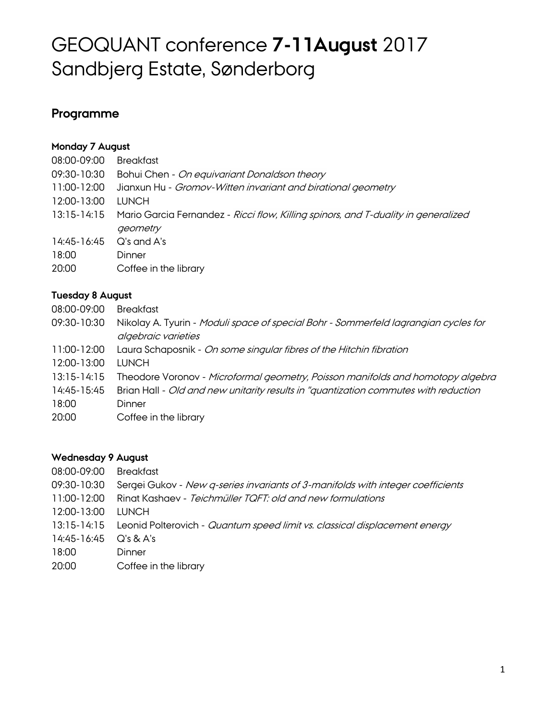# GEOQUANT conference **7-11August** 2017 Sandbjerg Estate, Sønderborg

# **Programme**

# **Monday 7 August**

| 08:00-09:00 | <b>Breakfast</b>                                                                   |
|-------------|------------------------------------------------------------------------------------|
| 09:30-10:30 | Bohui Chen - On equivariant Donaldson theory                                       |
| 11:00-12:00 | Jianxun Hu - Gromov-Witten invariant and birational geometry                       |
| 12:00-13:00 | <b>LUNCH</b>                                                                       |
| 13:15-14:15 | Mario Garcia Fernandez - Ricci flow, Killing spinors, and T-duality in generalized |
|             | geometry                                                                           |
| 14:45-16:45 | $Q$ 's and $A$ 's                                                                  |
| 18:00       | Dinner                                                                             |
| 20:00       | Coffee in the library                                                              |

## **Tuesday 8 August**

| 08:00-09:00     | <b>Breakfast</b>                                                                     |
|-----------------|--------------------------------------------------------------------------------------|
| 09:30-10:30     | Nikolay A. Tyurin - Moduli space of special Bohr - Sommerfeld lagrangian cycles for  |
|                 | algebraic varieties                                                                  |
| 11:00-12:00     | Laura Schaposnik - On some singular fibres of the Hitchin fibration                  |
| 12:00-13:00     | <b>TUNCH</b>                                                                         |
| $13:15 - 14:15$ | Theodore Voronov - Microformal geometry, Poisson manifolds and homotopy algebra      |
| 14:45-15:45     | Brian Hall - Old and new unitarity results in "quantization commutes with reduction" |
| 18:00           | Dinner                                                                               |
| 20:00           | Coffee in the library                                                                |
|                 |                                                                                      |

#### **Wednesday 9 August**

| 08:00-09:00 | <b>Breakfast</b>                                                                       |
|-------------|----------------------------------------------------------------------------------------|
| 09:30-10:30 | Sergei Gukov - New q-series invariants of 3-manifolds with integer coefficients        |
| 11:00-12:00 | Ringt Kashaev - Teichmüller TQFT; old and new formulations                             |
| 12:00-13:00 | <b>TUNCH</b>                                                                           |
|             | 13:15-14:15 Leonid Polterovich - Quantum speed limit vs. classical displacement energy |
| 14:45-16:45 | $Q's \& A's$                                                                           |
| 18:00       | Dinner                                                                                 |
| 20:00       | Coffee in the library                                                                  |